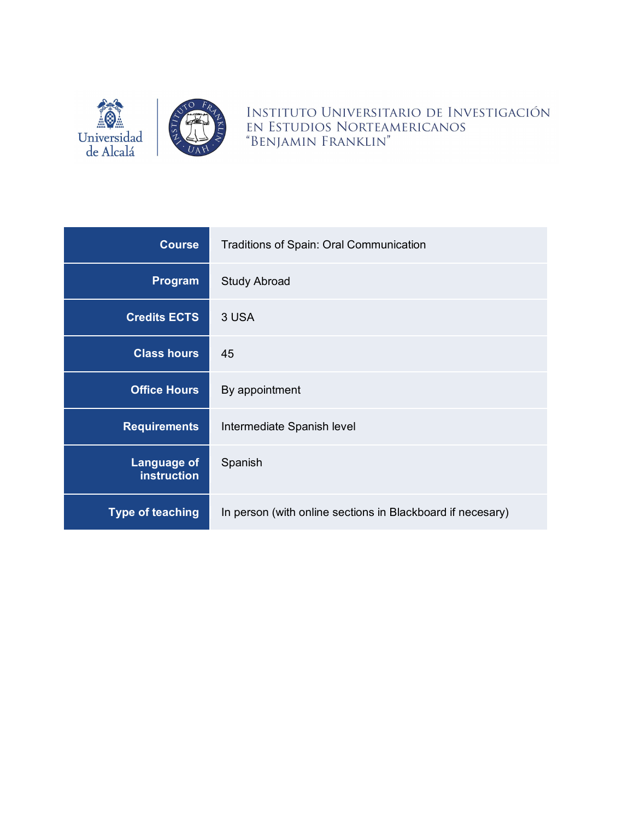

INSTITUTO UNIVERSITARIO DE INVESTIGACIÓN EN ESTUDIOS NORTEAMERICANOS "BENJAMIN FRANKLIN"

| <b>Course</b>                            | <b>Traditions of Spain: Oral Communication</b>             |  |
|------------------------------------------|------------------------------------------------------------|--|
| Program                                  | <b>Study Abroad</b>                                        |  |
| <b>Credits ECTS</b>                      | 3 USA                                                      |  |
| <b>Class hours</b>                       | 45                                                         |  |
| <b>Office Hours</b>                      | By appointment                                             |  |
| <b>Requirements</b>                      | Intermediate Spanish level                                 |  |
| <b>Language of</b><br><b>instruction</b> | Spanish                                                    |  |
| <b>Type of teaching</b>                  | In person (with online sections in Blackboard if necesary) |  |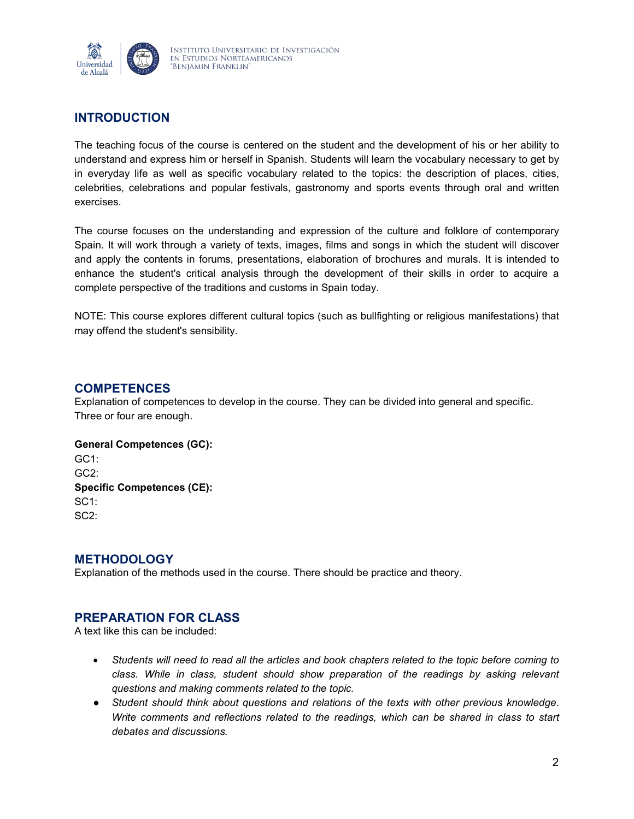

# **INTRODUCTION**

The teaching focus of the course is centered on the student and the development of his or her ability to understand and express him or herself in Spanish. Students will learn the vocabulary necessary to get by in everyday life as well as specific vocabulary related to the topics: the description of places, cities, celebrities, celebrations and popular festivals, gastronomy and sports events through oral and written exercises.

The course focuses on the understanding and expression of the culture and folklore of contemporary Spain. It will work through a variety of texts, images, films and songs in which the student will discover and apply the contents in forums, presentations, elaboration of brochures and murals. It is intended to enhance the student's critical analysis through the development of their skills in order to acquire a complete perspective of the traditions and customs in Spain today.

NOTE: This course explores different cultural topics (such as bullfighting or religious manifestations) that may offend the student's sensibility.

## **COMPETENCES**

Explanation of competences to develop in the course. They can be divided into general and specific. Three or four are enough.

### **General Competences (GC):**

GC1: GC2: **Specific Competences (CE):** SC1: SC2:

### **METHODOLOGY**

Explanation of the methods used in the course. There should be practice and theory.

## **PREPARATION FOR CLASS**

A text like this can be included:

- *Students will need to read all the articles and book chapters related to the topic before coming to class. While in class, student should show preparation of the readings by asking relevant questions and making comments related to the topic.*
- *Student should think about questions and relations of the texts with other previous knowledge. Write comments and reflections related to the readings, which can be shared in class to start debates and discussions.*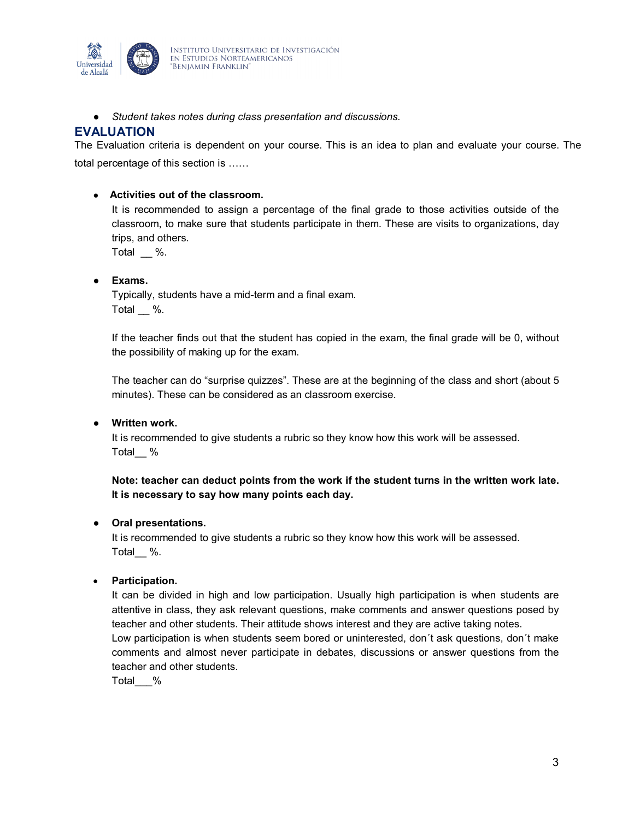

● *Student takes notes during class presentation and discussions.* 

## **EVALUATION**

The Evaluation criteria is dependent on your course. This is an idea to plan and evaluate your course. The total percentage of this section is ……

### ● **Activities out of the classroom.**

It is recommended to assign a percentage of the final grade to those activities outside of the classroom, to make sure that students participate in them. These are visits to organizations, day trips, and others.

Total \_\_ %.

#### ● **Exams.**

Typically, students have a mid-term and a final exam. Total %.

If the teacher finds out that the student has copied in the exam, the final grade will be 0, without the possibility of making up for the exam.

The teacher can do "surprise quizzes". These are at the beginning of the class and short (about 5 minutes). These can be considered as an classroom exercise.

#### ● **Written work.**

It is recommended to give students a rubric so they know how this work will be assessed. Total %

**Note: teacher can deduct points from the work if the student turns in the written work late. It is necessary to say how many points each day.**

#### ● **Oral presentations.**

It is recommended to give students a rubric so they know how this work will be assessed. Total\_\_ %.

#### • **Participation.**

It can be divided in high and low participation. Usually high participation is when students are attentive in class, they ask relevant questions, make comments and answer questions posed by teacher and other students. Their attitude shows interest and they are active taking notes.

Low participation is when students seem bored or uninterested, don´t ask questions, don´t make comments and almost never participate in debates, discussions or answer questions from the teacher and other students.

Total\_\_\_%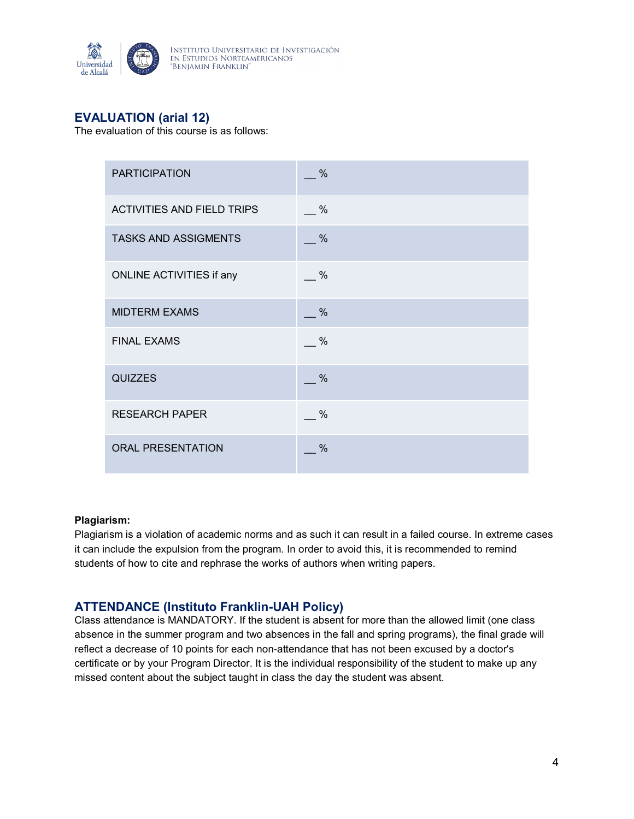

# **EVALUATION (arial 12)**

The evaluation of this course is as follows:

| <b>PARTICIPATION</b>              | $\frac{0}{0}$ |
|-----------------------------------|---------------|
| <b>ACTIVITIES AND FIELD TRIPS</b> | $\%$          |
| <b>TASKS AND ASSIGMENTS</b>       | $\%$          |
| ONLINE ACTIVITIES if any          | $\%$          |
| <b>MIDTERM EXAMS</b>              | $\%$          |
| <b>FINAL EXAMS</b>                | $\%$          |
| <b>QUIZZES</b>                    | %             |
| <b>RESEARCH PAPER</b>             | %             |
| <b>ORAL PRESENTATION</b>          | %             |

#### **Plagiarism:**

Plagiarism is a violation of academic norms and as such it can result in a failed course. In extreme cases it can include the expulsion from the program. In order to avoid this, it is recommended to remind students of how to cite and rephrase the works of authors when writing papers.

# **ATTENDANCE (Instituto Franklin-UAH Policy)**

Class attendance is MANDATORY. If the student is absent for more than the allowed limit (one class absence in the summer program and two absences in the fall and spring programs), the final grade will reflect a decrease of 10 points for each non-attendance that has not been excused by a doctor's certificate or by your Program Director. It is the individual responsibility of the student to make up any missed content about the subject taught in class the day the student was absent.